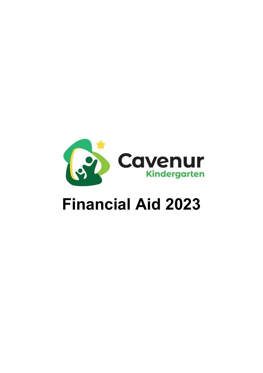

# **Financial Aid 2023**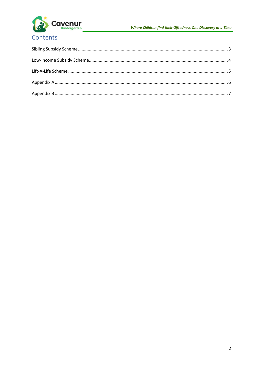

# Contents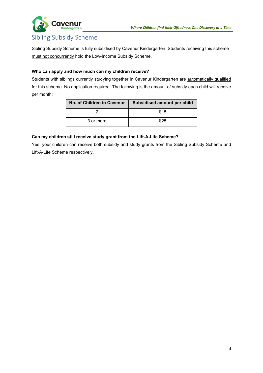



# <span id="page-2-0"></span>Sibling Subsidy Scheme

Sibling Subsidy Scheme is fully subsidised by Cavenur Kindergarten. Students receiving this scheme must not concurrently hold the Low-Income Subsidy Scheme.

# **Who can apply and how much can my children receive?**

Students with siblings currently studying together in Cavenur Kindergarten are automatically qualified for this scheme. No application required. The following is the amount of subsidy each child will receive per month:

| No. of Children in Cavenur | Subsidised amount per child |  |
|----------------------------|-----------------------------|--|
|                            | \$15                        |  |
| 3 or more                  | \$25                        |  |

## **Can my children still receive study grant from the Lift-A-Life Scheme?**

Yes, your children can receive both subsidy and study grants from the Sibling Subsidy Scheme and Lift-A-Life Scheme respectively.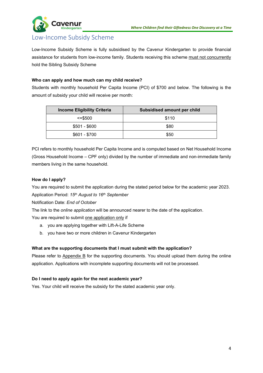

# <span id="page-3-0"></span>Low-Income Subsidy Scheme

Low-Income Subsidy Scheme is fully subsidised by the Cavenur Kindergarten to provide financial assistance for students from low-income family. Students receiving this scheme must not concurrently hold the Sibling Subsidy Scheme

## **Who can apply and how much can my child receive?**

Students with monthly household Per Capita Income (PCI) of \$700 and below. The following is the amount of subsidy your child will receive per month:

| <b>Income Eligibility Criteria</b> | Subsidised amount per child |
|------------------------------------|-----------------------------|
| $\le$ = \$500                      | \$110                       |
| $$501 - $600$                      | \$80                        |
| $$601 - $700$                      | \$50                        |

PCI refers to monthly household Per Capita Income and is computed based on Net Household Income (Gross Household Income – CPF only) divided by the number of immediate and non-immediate family members living in the same household.

#### **How do I apply?**

You are required to submit the application during the stated period below for the academic year 2023. Application Period: *15th August to 16th September*

Notification Date: *End of October*

The link to the *online application* will be announced nearer to the date of the application.

You are required to submit one application only if

- a. you are applying together with Lift-A-Life Scheme
- b. you have two or more children in Cavenur Kindergarten

## **What are the supporting documents that I must submit with the application?**

Please refer to Appendix B for the supporting documents. You should upload them during the online application. Applications with incomplete supporting documents will not be processed.

#### **Do I need to apply again for the next academic year?**

Yes. Your child will receive the subsidy for the stated academic year only.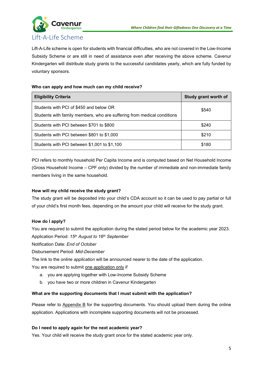

# <span id="page-4-0"></span>Lift-A-Life Scheme

Lift-A-Life scheme is open for students with financial difficulties, who are not covered in the Low-Income Subsidy Scheme or are still in need of assistance even after receiving the above scheme. Cavenur Kindergarten will distribute study grants to the successful candidates yearly, which are fully funded by voluntary sponsors.

## **Who can apply and how much can my child receive?**

| <b>Eligibility Criteria</b>                                                                                        | Study grant worth of |
|--------------------------------------------------------------------------------------------------------------------|----------------------|
| Students with PCI of \$450 and below OR<br>Students with family members, who are suffering from medical conditions | \$540                |
| Students with PCI between \$701 to \$800                                                                           | \$240                |
| Students with PCI between \$801 to \$1,000                                                                         | \$210                |
| Students with PCI between \$1,001 to \$1,100                                                                       | \$180                |

PCI refers to monthly household Per Capita Income and is computed based on Net Household Income (Gross Household Income – CPF only) divided by the number of immediate and non-immediate family members living in the same household.

## **How will my child receive the study grant?**

The study grant will be deposited into your child's CDA account so it can be used to pay partial or full of your child's first month fees, depending on the amount your child will receive for the study grant.

## **How do I apply?**

You are required to submit the application during the stated period below for the academic year 2023. Application Period: *15th August to 16th September*

Notification Date: *End of October*

Disbursement Period: *Mid-December* 

The link to the *online application* will be announced nearer to the date of the application.

You are required to submit one application only if

- a. you are applying together with Low-Income Subsidy Scheme
- b. you have two or more children in Cavenur Kindergarten

## **What are the supporting documents that I must submit with the application?**

Please refer to Appendix B for the supporting documents. You should upload them during the online application. Applications with incomplete supporting documents will not be processed.

## **Do I need to apply again for the next academic year?**

Yes. Your child will receive the study grant once for the stated academic year only.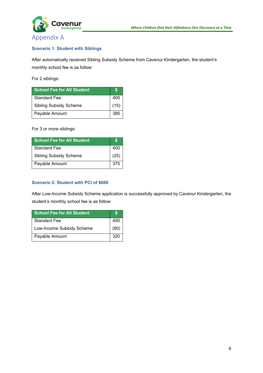

# <span id="page-5-0"></span>Appendix A

#### **Scenario 1: Student with Siblings**

After automatically received Sibling Subsidy Scheme from Cavenur Kindergarten, the student's monthly school fee is as follow:

For 2 siblings:

| <b>School Fee for All Student</b> |      |
|-----------------------------------|------|
| <b>Standard Fee</b>               | 400  |
| <b>Sibling Subsidy Scheme</b>     | (15) |
| Payable Amount                    | 385  |

For 3 or more siblings:

| School Fee for All Student    |      |
|-------------------------------|------|
| <b>Standard Fee</b>           | 400  |
| <b>Sibling Subsidy Scheme</b> | (25) |
| Payable Amount                | 375  |

#### **Scenario 2: Student with PCI of \$600**

After Low-Income Subsidy Scheme application is successfully approved by Cavenur Kindergarten, the student's monthly school fee is as follow:

| <b>School Fee for All Student</b> |      |
|-----------------------------------|------|
| <b>Standard Fee</b>               | 400  |
| Low-Income Subsidy Scheme         | (80) |
| Payable Amount                    | 320  |